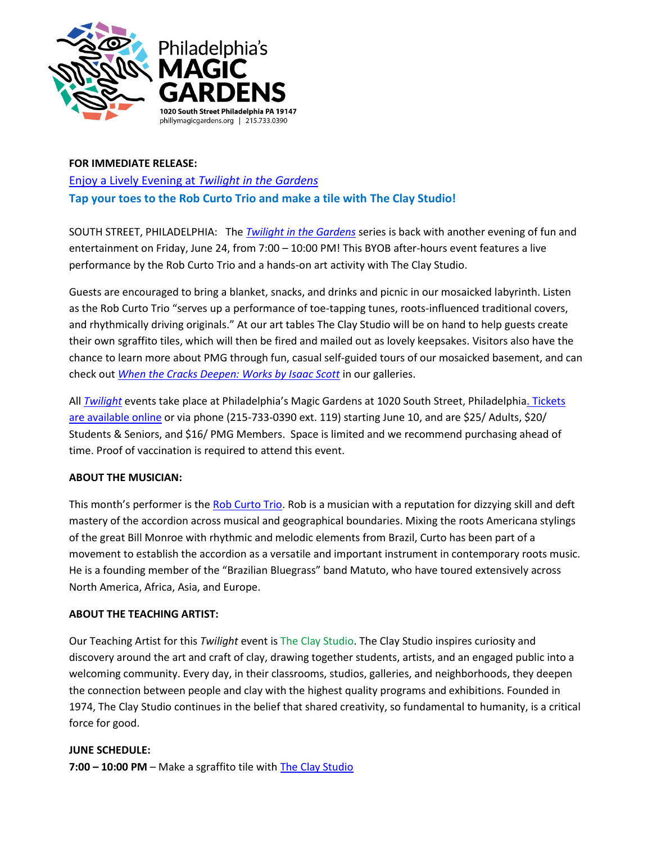

# **FOR IMMEDIATE RELEASE:** [Enjoy a Lively Evening at](https://www.phillymagicgardens.org/event/june-twilight-in-the-gardens-2022/?sd=1656028800&ed=2200&ad=n) *Twilight in the Gardens* **Tap your toes to the Rob Curto Trio and make a tile with The Clay Studio!**

SOUTH STREET, PHILADELPHIA: The *[Twilight in the Gardens](https://www.phillymagicgardens.org/event/june-twilight-in-the-gardens-2022/?sd=1656028800&ed=2200&ad=n)* series is back with another evening of fun and entertainment on Friday, June 24, from 7:00 – 10:00 PM! This BYOB after-hours event features a live performance by the Rob Curto Trio and a hands-on art activity with The Clay Studio.

Guests are encouraged to bring a blanket, snacks, and drinks and picnic in our mosaicked labyrinth. Listen as the Rob Curto Trio "serves up a performance of toe-tapping tunes, roots-influenced traditional covers, and rhythmically driving originals." At our art tables The Clay Studio will be on hand to help guests create their own sgraffito tiles, which will then be fired and mailed out as lovely keepsakes. Visitors also have the chance to learn more about PMG through fun, casual self-guided tours of our mosaicked basement, and can check out *[When the Cracks Deepen: Works by Isaac Scott](https://www.phillymagicgardens.org/event/when-the-cracks-deepen-works-by-isaac-scott/)* in our galleries.

All *[Twilight](https://www.phillymagicgardens.org/public-programs/twilight-in-the-gardens/)* events take place at Philadelphia's Magic Gardens at 1020 South Street, Philadelphia[. Tickets](https://www.phillymagicgardens.org/event/june-twilight-in-the-gardens-2022/?sd=1656028800&ed=2200&ad=n)  [are available online](https://www.phillymagicgardens.org/event/june-twilight-in-the-gardens-2022/?sd=1656028800&ed=2200&ad=n) or via phone (215-733-0390 ext. 119) starting June 10, and are \$25/ Adults, \$20/ Students & Seniors, and \$16/ PMG Members. Space is limited and we recommend purchasing ahead of time. Proof of vaccination is required to attend this event.

## **ABOUT THE MUSICIAN:**

This month's performer is the [Rob Curto Trio.](https://www.robcurto.com/) Rob is a musician with a reputation for dizzying skill and deft mastery of the accordion across musical and geographical boundaries. Mixing the roots Americana stylings of the great Bill Monroe with rhythmic and melodic elements from Brazil, Curto has been part of a movement to establish the accordion as a versatile and important instrument in contemporary roots music. He is a founding member of the "Brazilian Bluegrass" band Matuto, who have toured extensively across North America, Africa, Asia, and Europe.

## **ABOUT THE TEACHING ARTIST:**

Our Teaching Artist for this *Twilight* event is [The Clay Studio.](https://www.theclaystudio.org/) The Clay Studio inspires curiosity and discovery around the art and craft of clay, drawing together students, artists, and an engaged public into a welcoming community. Every day, in their classrooms, studios, galleries, and neighborhoods, they deepen the connection between people and clay with the highest quality programs and exhibitions. Founded in 1974, The Clay Studio continues in the belief that shared creativity, so fundamental to humanity, is a critical force for good.

### **JUNE SCHEDULE:**

**7:00 – 10:00 PM** – Make a sgraffito tile with The [Clay Studio](https://www.theclaystudio.org/)